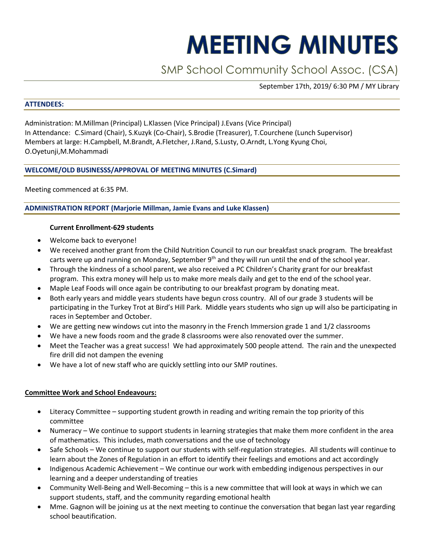# **MEETING MINUTES**

# SMP School Community School Assoc. (CSA)

September 17th, 2019/ 6:30 PM / MY Library

#### **ATTENDEES:**

Administration: M.Millman (Principal) L.Klassen (Vice Principal) J.Evans (Vice Principal) In Attendance: C.Simard (Chair), S.Kuzyk (Co-Chair), S.Brodie (Treasurer), T.Courchene (Lunch Supervisor) Members at large: H.Campbell, M.Brandt, A.Fletcher, J.Rand, S.Lusty, O.Arndt, L.Yong Kyung Choi, O.Oyetunji,M.Mohammadi

# **WELCOME/OLD BUSINESSS/APPROVAL OF MEETING MINUTES (C.Simard)**

Meeting commenced at 6:35 PM.

## **ADMINISTRATION REPORT (Marjorie Millman, Jamie Evans and Luke Klassen)**

## **Current Enrollment-629 students**

- Welcome back to everyone!
- We received another grant from the Child Nutrition Council to run our breakfast snack program. The breakfast carts were up and running on Monday, September 9<sup>th</sup> and they will run until the end of the school year.
- Through the kindness of a school parent, we also received a PC Children's Charity grant for our breakfast program. This extra money will help us to make more meals daily and get to the end of the school year.
- Maple Leaf Foods will once again be contributing to our breakfast program by donating meat.
- Both early years and middle years students have begun cross country. All of our grade 3 students will be participating in the Turkey Trot at Bird's Hill Park. Middle years students who sign up will also be participating in races in September and October.
- We are getting new windows cut into the masonry in the French Immersion grade 1 and 1/2 classrooms
- We have a new foods room and the grade 8 classrooms were also renovated over the summer.
- Meet the Teacher was a great success! We had approximately 500 people attend. The rain and the unexpected fire drill did not dampen the evening
- We have a lot of new staff who are quickly settling into our SMP routines.

# **Committee Work and School Endeavours:**

- Literacy Committee supporting student growth in reading and writing remain the top priority of this committee
- Numeracy We continue to support students in learning strategies that make them more confident in the area of mathematics. This includes, math conversations and the use of technology
- Safe Schools We continue to support our students with self-regulation strategies. All students will continue to learn about the Zones of Regulation in an effort to identify their feelings and emotions and act accordingly
- Indigenous Academic Achievement We continue our work with embedding indigenous perspectives in our learning and a deeper understanding of treaties
- Community Well-Being and Well-Becoming this is a new committee that will look at ways in which we can support students, staff, and the community regarding emotional health
- Mme. Gagnon will be joining us at the next meeting to continue the conversation that began last year regarding school beautification.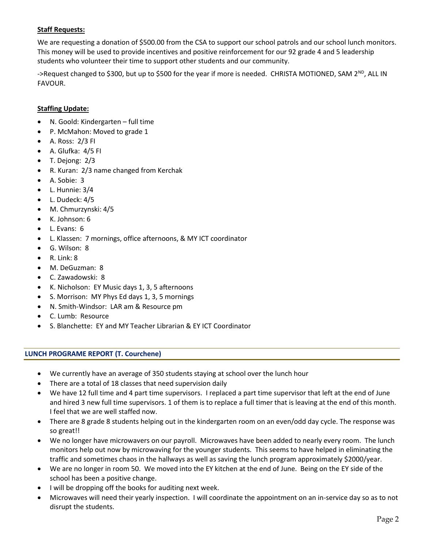# **Staff Requests:**

We are requesting a donation of \$500.00 from the CSA to support our school patrols and our school lunch monitors. This money will be used to provide incentives and positive reinforcement for our 92 grade 4 and 5 leadership students who volunteer their time to support other students and our community.

->Request changed to \$300, but up to \$500 for the year if more is needed. CHRISTA MOTIONED, SAM  $2^{ND}$ , ALL IN FAVOUR.

#### **Staffing Update:**

- N. Goold: Kindergarten full time
- P. McMahon: Moved to grade 1
- A. Ross: 2/3 FI
- A. Glufka: 4/5 FI
- T. Dejong: 2/3
- R. Kuran: 2/3 name changed from Kerchak
- A. Sobie: 3
- L. Hunnie: 3/4
- L. Dudeck: 4/5
- M. Chmurzynski: 4/5
- K. Johnson: 6
- L. Evans: 6
- L. Klassen: 7 mornings, office afternoons, & MY ICT coordinator
- G. Wilson: 8
- R. Link: 8
- M. DeGuzman: 8
- C. Zawadowski: 8
- K. Nicholson: EY Music days 1, 3, 5 afternoons
- S. Morrison: MY Phys Ed days 1, 3, 5 mornings
- N. Smith-Windsor: LAR am & Resource pm
- C. Lumb: Resource
- S. Blanchette: EY and MY Teacher Librarian & EY ICT Coordinator

#### **LUNCH PROGRAME REPORT (T. Courchene)**

- We currently have an average of 350 students staying at school over the lunch hour
- There are a total of 18 classes that need supervision daily
- We have 12 full time and 4 part time supervisors. I replaced a part time supervisor that left at the end of June and hired 3 new full time supervisors. 1 of them is to replace a full timer that is leaving at the end of this month. I feel that we are well staffed now.
- There are 8 grade 8 students helping out in the kindergarten room on an even/odd day cycle. The response was so great!!
- We no longer have microwavers on our payroll. Microwaves have been added to nearly every room. The lunch monitors help out now by microwaving for the younger students. This seems to have helped in eliminating the traffic and sometimes chaos in the hallways as well as saving the lunch program approximately \$2000/year.
- We are no longer in room 50. We moved into the EY kitchen at the end of June. Being on the EY side of the school has been a positive change.
- I will be dropping off the books for auditing next week.
- Microwaves will need their yearly inspection. I will coordinate the appointment on an in-service day so as to not disrupt the students.